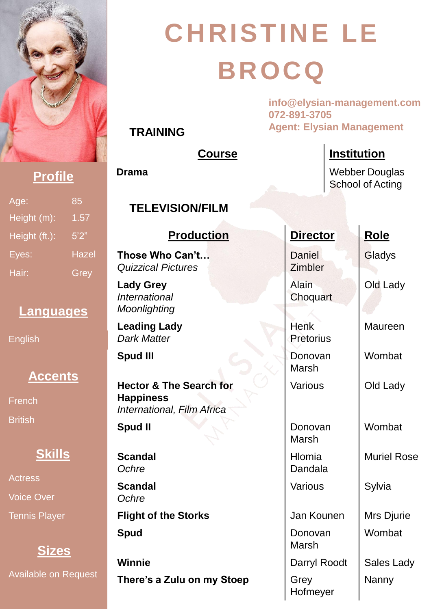

**TRAINING**

# **CHRISTINE LE BROCQ**

**info@elysian-management.com 072-891-3705 Agent: Elysian Management**

|                                            |                      | <b>Course</b>                                                                        | <b>Institution</b>       |                    |
|--------------------------------------------|----------------------|--------------------------------------------------------------------------------------|--------------------------|--------------------|
| <b>Profile</b>                             |                      | <b>Drama</b><br><b>Webber Douglas</b><br><b>School of Acting</b>                     |                          |                    |
| Age:<br>Height (m):                        | 85<br>1.57           | <b>TELEVISION/FILM</b>                                                               |                          |                    |
| Height (ft.):                              | 5'2"                 | <b>Production</b>                                                                    | <b>Director</b>          | Role               |
| Eyes:<br>Hair:                             | <b>Hazel</b><br>Grey | Those Who Can't<br><b>Quizzical Pictures</b>                                         | <b>Daniel</b><br>Zimbler | Gladys             |
| Languages                                  |                      | <b>Lady Grey</b><br><b>International</b><br>Moonlighting                             | <b>Alain</b><br>Choquart | Old Lady           |
| <b>English</b>                             |                      | <b>Leading Lady</b><br><b>Dark Matter</b>                                            | <b>Henk</b><br>Pretorius | Maureen            |
|                                            |                      | <b>Spud III</b>                                                                      | Donovan<br>Marsh         | Wombat             |
| <b>Accents</b><br>French<br><b>British</b> |                      | <b>Hector &amp; The Search for</b><br><b>Happiness</b><br>International, Film Africa | Various                  | Old Lady           |
|                                            |                      | Spud II                                                                              | Donovan<br><b>Marsh</b>  | Wombat             |
| Skills                                     |                      | <b>Scandal</b><br>Ochre                                                              | Hlomia<br>Dandala        | <b>Muriel Rose</b> |
| <b>Actress</b><br><b>Voice Over</b>        |                      | <b>Scandal</b><br>Ochre                                                              | <b>Various</b>           | Sylvia             |
| <b>Tennis Player</b>                       |                      | <b>Flight of the Storks</b>                                                          | Jan Kounen               | Mrs Djurie         |
| <b>Sizes</b>                               |                      | <b>Spud</b>                                                                          | Donovan<br><b>Marsh</b>  | Wombat             |
|                                            |                      | <b>Winnie</b>                                                                        | Darryl Roodt             | Sales Lady         |
| <b>Available on Request</b>                |                      | There's a Zulu on my Stoep                                                           | Grey<br>Hofmeyer         | Nanny              |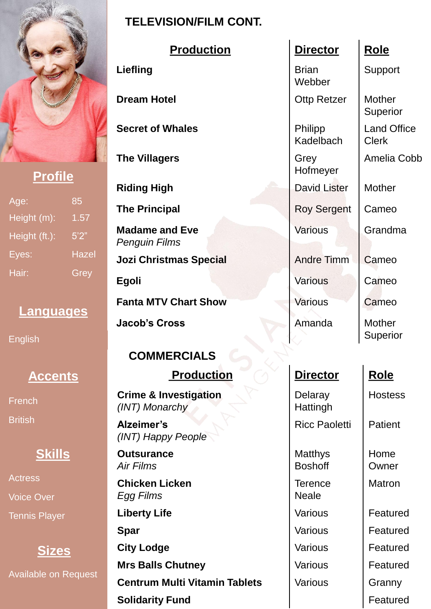

### **Profile**

| Age:          | 85           |
|---------------|--------------|
| Height (m):   | 1.57         |
| Height (ft.): | 5'2''        |
| Eyes:         | <b>Hazel</b> |
| Hair:         | Grey         |

#### **Languages**

English

# **Accents**

French **British** 

#### **Skills**

Actress Voice Over Tennis Player

# **Sizes**

Available on Request

#### **TELEVISION/FILM CONT.**

| <b>Production</b>                                  | <b>Director</b>                  | <b>Role</b>              |
|----------------------------------------------------|----------------------------------|--------------------------|
| Liefling                                           | <b>Brian</b><br>Webber           | Support                  |
| <b>Dream Hotel</b>                                 | <b>Ottp Retzer</b>               | <b>Mother</b><br>Superio |
| <b>Secret of Whales</b>                            | Philipp<br>Kadelbach             | Land Of<br><b>Clerk</b>  |
| <b>The Villagers</b>                               | Grey<br>Hofmeyer                 | Amelia                   |
| <b>Riding High</b>                                 | David Lister                     | <b>Mother</b>            |
| <b>The Principal</b>                               | <b>Roy Sergent</b>               | Cameo                    |
| <b>Madame and Eve</b><br><b>Penguin Films</b>      | <b>Various</b>                   | Grandm                   |
| <b>Jozi Christmas Special</b>                      | <b>Andre Timm</b>                | Cameo                    |
| Egoli                                              | <b>Various</b>                   | Cameo                    |
| <b>Fanta MTV Chart Show</b>                        | Various                          | Cameo                    |
| <b>Jacob's Cross</b>                               | Amanda                           | <b>Mother</b><br>Superio |
| <b>COMMERCIALS</b>                                 |                                  |                          |
| <b>Production</b>                                  | <b>Director</b>                  | <b>Role</b>              |
| <b>Crime &amp; Investigation</b><br>(INT) Monarchy | Delaray<br>Hattingh              | Hostes                   |
| Alzeimer's<br>(INT) Happy People                   | <b>Ricc Paoletti</b>             | Patient                  |
| <b>Outsurance</b><br><b>Air Films</b>              | <b>Matthys</b><br><b>Boshoff</b> | Home<br>Owner            |
| <b>Chicken Licken</b><br><b>Egg Films</b>          | <b>Terence</b><br><b>Neale</b>   | Matror                   |
| <b>Liberty Life</b>                                | <b>Various</b>                   | Featur                   |
| <b>Spar</b>                                        | <b>Various</b>                   | Featur                   |
| <b>City Lodge</b>                                  | <b>Various</b>                   | Featur                   |
| <b>Mrs Balls Chutney</b>                           | <b>Various</b>                   | Featur                   |
| <b>Centrum Multi Vitamin Tablets</b>               | <b>Various</b>                   | Granny                   |
| Solidarity Fund                                    |                                  | Footur                   |

| <b>Production</b> | <b>Director</b>        | <b>Role</b>                        |
|-------------------|------------------------|------------------------------------|
|                   | <b>Brian</b><br>Webber | Support                            |
| эI                | <b>Ottp Retzer</b>     | Mother<br>Superior                 |
| hales             | Philipp<br>Kadelbach   | <b>Land Office</b><br><b>Clerk</b> |
| rs                | Grey<br>Hofmeyer       | Amelia Cobb                        |
| ĭ                 | David Lister           | <b>Mother</b>                      |
| al                | <b>Roy Sergent</b>     | Cameo                              |
| d Eve<br>$\it ns$ | <b>Various</b>         | Grandma                            |
| mas Special       | <b>Andre Timm</b>      | Cameo                              |
|                   | <b>Various</b>         | Cameo                              |
| <b>Chart Show</b> | <b>Various</b>         | Cameo                              |
| ວຣຣ               | Amanda                 | <b>Mother</b><br>Superior          |

#### **Production Bole**

**Hostess** 

Home **Owner** Matron

Various **Featured** Various | Featured Various | Featured Various **Featured** Various | Granny **Featured**